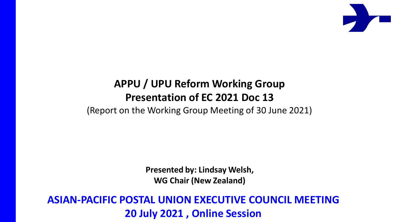

#### **APPU / UPU Reform Working Group Presentation of EC 2021 Doc 13**

(Report on the Working Group Meeting of 30 June 2021)

**Presented by: Lindsay Welsh, WG Chair (New Zealand)**

**ASIAN-PACIFIC POSTAL UNION EXECUTIVE COUNCIL MEETING 20 July 2021 , Online Session**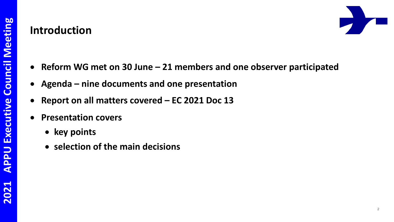#### **Introduction**



- **Reform WG met on 30 June – 21 members and one observer participated**
- **Agenda – nine documents and one presentation**
- **Report on all matters covered – EC 2021 Doc 13**
- **Presentation covers**
	- **key points**
	- **selection of the main decisions**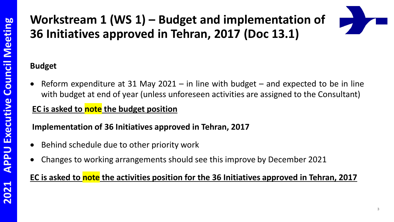## **Workstream 1 (WS 1) – Budget and implementation of 36 Initiatives approved in Tehran, 2017 (Doc 13.1)**

#### **Budget**

 Reform expenditure at 31 May 2021 – in line with budget – and expected to be in line with budget at end of year (unless unforeseen activities are assigned to the Consultant)

#### **EC is asked to note the budget position**

#### **Implementation of 36 Initiatives approved in Tehran, 2017**

- Behind schedule due to other priority work
- Changes to working arrangements should see this improve by December 2021

#### **EC is asked to note the activities position for the 36 Initiatives approved in Tehran, 2017**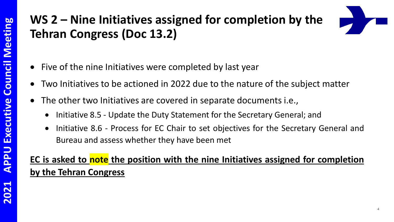## **WS 2 – Nine Initiatives assigned for completion by the Tehran Congress (Doc 13.2)**

- Five of the nine Initiatives were completed by last year
- Two Initiatives to be actioned in 2022 due to the nature of the subject matter
- The other two Initiatives are covered in separate documents i.e.,
	- Initiative 8.5 Update the Duty Statement for the Secretary General; and
	- Initiative 8.6 Process for EC Chair to set objectives for the Secretary General and Bureau and assess whether they have been met

#### **EC is asked to note the position with the nine Initiatives assigned for completion by the Tehran Congress**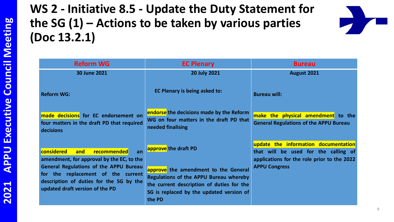## **WS 2 - Initiative 8.5 - Update the Duty Statement for the SG (1) – Actions to be taken by various parties (Doc 13.2.1)**



| <b>Reform WG</b>                                                                                                                                                  | <b>EC Plenary</b>                                                                                                                                                                        | <b>Bureau</b>                                                                                                               |
|-------------------------------------------------------------------------------------------------------------------------------------------------------------------|------------------------------------------------------------------------------------------------------------------------------------------------------------------------------------------|-----------------------------------------------------------------------------------------------------------------------------|
| <b>30 June 2021</b>                                                                                                                                               | <b>20 July 2021</b>                                                                                                                                                                      | August 2021                                                                                                                 |
| <b>Reform WG:</b>                                                                                                                                                 | EC Plenary is being asked to:                                                                                                                                                            | <b>Bureau will:</b>                                                                                                         |
| made decisions for EC endorsement on<br>four matters in the draft PD that required<br>decisions                                                                   | endorse the decisions made by the Reform<br>WG on four matters in the draft PD that<br>needed finalising                                                                                 | make the physical amendment to the<br><b>General Regulations of the APPU Bureau</b>                                         |
| considered<br>recommended<br>and<br>an<br>amendment, for approval by the EC, to the                                                                               | approve the draft PD                                                                                                                                                                     | update the information documentation<br>that will be used for the calling of<br>applications for the role prior to the 2022 |
| <b>General Regulations of the APPU Bureau</b><br>for the replacement of the current<br>description of duties for the SG by the<br>updated draft version of the PD | approve the amendment to the General<br><b>Regulations of the APPU Bureau whereby</b><br>the current description of duties for the<br>SG is replaced by the updated version of<br>the PD | <b>APPU Congress</b>                                                                                                        |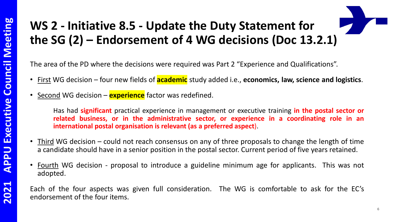# **WS 2 - Initiative 8.5 - Update the Duty Statement for the SG (2) – Endorsement of 4 WG decisions (Doc 13.2.1)**

The area of the PD where the decisions were required was Part 2 "Experience and Qualifications".

- First WG decision four new fields of **academic** study added i.e., **economics, law, science and logistics**.
- Second WG decision **experience** factor was redefined.

Has had **significant** practical experience in management or executive training **in the postal sector or related business, or in the administrative sector, or experience in a coordinating role in an international postal organisation is relevant (as a preferred aspect**).

- Third WG decision could not reach consensus on any of three proposals to change the length of time a candidate should have in a senior position in the postal sector. Current period of five years retained.
- Fourth WG decision proposal to introduce a guideline minimum age for applicants. This was not adopted.

Each of the four aspects was given full consideration. The WG is comfortable to ask for the EC's endorsement of the four items.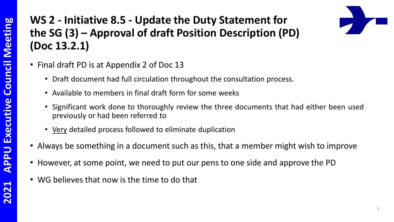## **WS 2 - Initiative 8.5 - Update the Duty Statement for the SG (3) – Approval of draft Position Description (PD) (Doc 13.2.1)**



- Final draft PD is at Appendix 2 of Doc 13
	- Draft document had full circulation throughout the consultation process.
	- Available to members in final draft form for some weeks
	- Significant work done to thoroughly review the three documents that had either been used previously or had been referred to
	- Very detailed process followed to eliminate duplication
- Always be something in a document such as this, that a member might wish to improve
- However, at some point, we need to put our pens to one side and approve the PD
- WG believes that now is the time to do that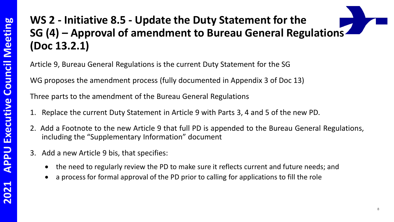## **WS 2 - Initiative 8.5 - Update the Duty Statement for the SG (4) – Approval of amendment to Bureau General Regulations (Doc 13.2.1)**

Article 9, Bureau General Regulations is the current Duty Statement for the SG

WG proposes the amendment process (fully documented in Appendix 3 of Doc 13)

Three parts to the amendment of the Bureau General Regulations

- 1. Replace the current Duty Statement in Article 9 with Parts 3, 4 and 5 of the new PD.
- 2. Add a Footnote to the new Article 9 that full PD is appended to the Bureau General Regulations, including the "Supplementary Information" document
- 3. Add a new Article 9 bis, that specifies:
	- the need to regularly review the PD to make sure it reflects current and future needs; and
	- a process for formal approval of the PD prior to calling for applications to fill the role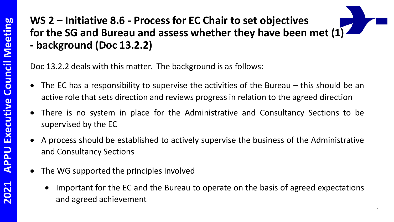## **WS 2 – Initiative 8.6 - Process for EC Chair to set objectives for the SG and Bureau and assess whether they have been met (1) - background (Doc 13.2.2)**

Doc 13.2.2 deals with this matter. The background is as follows:

- The EC has a responsibility to supervise the activities of the Bureau this should be an active role that sets direction and reviews progress in relation to the agreed direction
- There is no system in place for the Administrative and Consultancy Sections to be supervised by the EC
- A process should be established to actively supervise the business of the Administrative and Consultancy Sections
- The WG supported the principles involved
	- Important for the EC and the Bureau to operate on the basis of agreed expectations and agreed achievement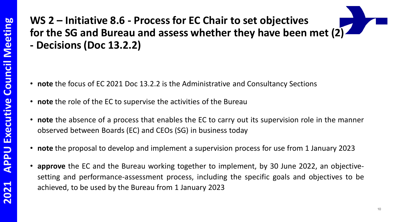## **WS 2 – Initiative 8.6 - Process for EC Chair to set objectives for the SG and Bureau and assess whether they have been met (2) - Decisions (Doc 13.2.2)**

- **note** the focus of EC 2021 Doc 13.2.2 is the Administrative and Consultancy Sections
- **note** the role of the EC to supervise the activities of the Bureau
- **note** the absence of a process that enables the EC to carry out its supervision role in the manner observed between Boards (EC) and CEOs (SG) in business today
- **note** the proposal to develop and implement a supervision process for use from 1 January 2023
- **approve** the EC and the Bureau working together to implement, by 30 June 2022, an objectivesetting and performance-assessment process, including the specific goals and objectives to be achieved, to be used by the Bureau from 1 January 2023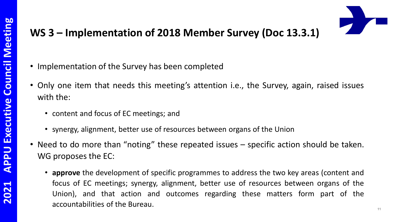#### **WS 3 – Implementation of 2018 Member Survey (Doc 13.3.1)**

- Implementation of the Survey has been completed
- Only one item that needs this meeting's attention i.e., the Survey, again, raised issues with the:
	- content and focus of EC meetings; and
	- synergy, alignment, better use of resources between organs of the Union
- Need to do more than "noting" these repeated issues specific action should be taken. WG proposes the EC:
	- **approve** the development of specific programmes to address the two key areas (content and focus of EC meetings; synergy, alignment, better use of resources between organs of the Union), and that action and outcomes regarding these matters form part of the accountabilities of the Bureau.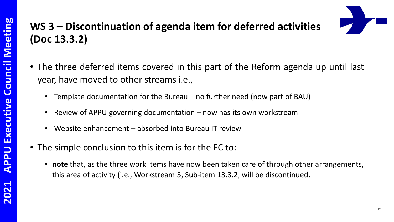### **WS 3 – Discontinuation of agenda item for deferred activities (Doc 13.3.2)**

- The three deferred items covered in this part of the Reform agenda up until last year, have moved to other streams i.e.,
	- Template documentation for the Bureau no further need (now part of BAU)
	- Review of APPU governing documentation now has its own workstream
	- Website enhancement absorbed into Bureau IT review
- The simple conclusion to this item is for the EC to:
	- **note** that, as the three work items have now been taken care of through other arrangements, this area of activity (i.e., Workstream 3, Sub-item 13.3.2, will be discontinued.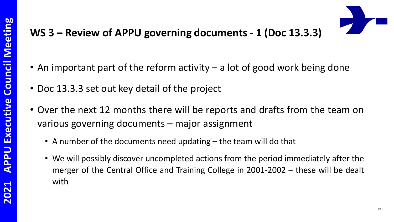#### **WS 3 – Review of APPU governing documents - 1 (Doc 13.3.3)**

- An important part of the reform activity a lot of good work being done
- Doc 13.3.3 set out key detail of the project
- Over the next 12 months there will be reports and drafts from the team on various governing documents – major assignment
	- A number of the documents need updating the team will do that
	- We will possibly discover uncompleted actions from the period immediately after the merger of the Central Office and Training College in 2001-2002 – these will be dealt with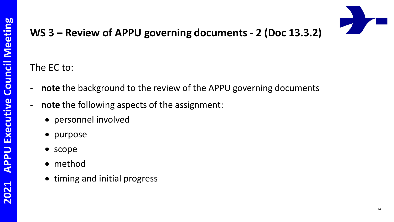

## **WS 3 – Review of APPU governing documents - 2 (Doc 13.3.2)**

#### The EC to:

- **note** the background to the review of the APPU governing documents
- **note** the following aspects of the assignment:
	- personnel involved
	- purpose
	- scope
	- method
	- timing and initial progress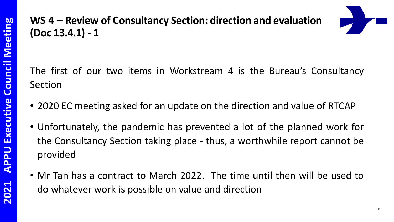### **WS 4 – Review of Consultancy Section: direction and evaluation (Doc 13.4.1) - 1**



The first of our two items in Workstream 4 is the Bureau's Consultancy Section

- 2020 EC meeting asked for an update on the direction and value of RTCAP
- Unfortunately, the pandemic has prevented a lot of the planned work for the Consultancy Section taking place - thus, a worthwhile report cannot be provided
- Mr Tan has a contract to March 2022. The time until then will be used to do whatever work is possible on value and direction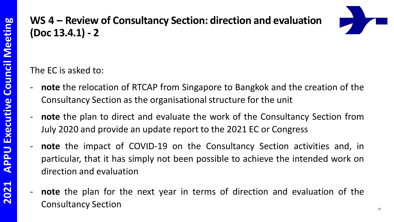#### **WS 4 – Review of Consultancy Section: direction and evaluation (Doc 13.4.1) - 2**



The EC is asked to:

- **note** the relocation of RTCAP from Singapore to Bangkok and the creation of the Consultancy Section as the organisational structure for the unit
- **note** the plan to direct and evaluate the work of the Consultancy Section from July 2020 and provide an update report to the 2021 EC or Congress
- **note** the impact of COVID-19 on the Consultancy Section activities and, in particular, that it has simply not been possible to achieve the intended work on direction and evaluation
	- **note** the plan for the next year in terms of direction and evaluation of the Consultancy Section